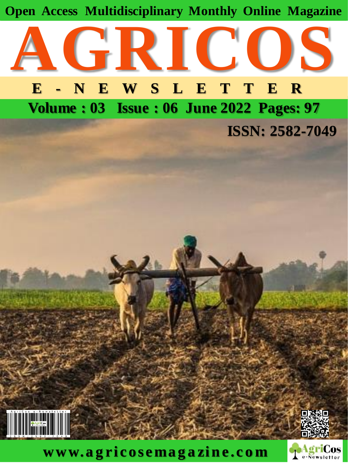



**Volume : 03 Issue : 06 June 2022 Pages: 97**

**ISSN: 2582-7049**



**www. a g ri cosema g a zi n e. c o m**



ロメメタロ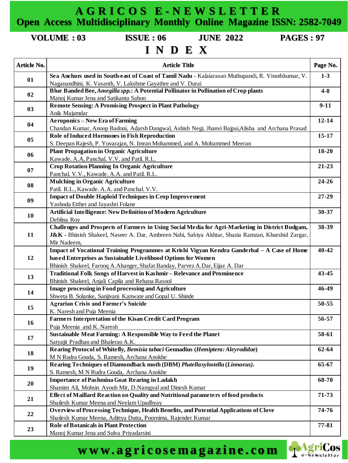#### **A G R I C O S E - N E W S L E T T E R Open Access Multidisciplinary Monthly Online Magazine ISSN: 2582-7049**

**VOLUME : 03 ISSUE : 06 JUNE 2022 PAGES : 97**

## **I N D E X**

| Article No. | <b>Article Title</b>                                                                                                                                                                                                  | Page No.  |
|-------------|-----------------------------------------------------------------------------------------------------------------------------------------------------------------------------------------------------------------------|-----------|
| 01          | Sea Anchors used in South-east of Coast of Tamil Nadu - Kalaiarasan Muthupandi, R. Vinothkumar, V.<br>Naganandhini, K. Vasanth, V. Lakshme Gayathre and V. Durai                                                      | $1 - 3$   |
| 02          | Blue Banded Bee, Amegilla spp.: A Potential Pollinator in Pollination of Crop plants<br>Manoj Kumar Jena and Satikanta Sahoo                                                                                          | $4 - 8$   |
| 03          | <b>Remote Sensing: A Promising Prospect in Plant Pathology</b>                                                                                                                                                        | $9 - 11$  |
| 04          | Anik Majumdar<br><b>Aeroponics - New Era of Farming</b>                                                                                                                                                               | $12 - 14$ |
| 05          | Chandan Kumar, Anoop Badoni, Adarsh Dangwal, Ashish Negi, Jhanvi Bajpai, Alisha and Archana Prasad<br><b>Role of Induced Hormones in Fish Reproduction</b>                                                            | 15-17     |
| 06          | S. Deepan Rajesh, P. Yuvarajan, N. Imran Mohammed, and A. Mohammed Meeran<br><b>Plant Propagation in Organic Agriculture</b>                                                                                          | 18-20     |
| 07          | Kawade. A.A, Panchal. V.V. and Patil. R.L.<br><b>Crop Rotation Planning In Organic Agriculture</b>                                                                                                                    | 21-23     |
| 08          | Panchal, V.V., Kawade. A.A. and Patil. R.L.<br><b>Mulching in Organic Agriculture</b>                                                                                                                                 | 24-26     |
| 09          | Patil. R.L., Kawade. A.A. and Panchal. V.V.<br><b>Impact of Double Haploid Techniques in Crop Improvement</b>                                                                                                         | 27-29     |
| 10          | Yashoda Etther and Jayashri Folane<br>Artificial Intelligence: New Definition of Modern Agriculture                                                                                                                   | 30-37     |
| 11          | Deblina Roy<br>Challenges and Prospects of Farmers in Using Social Media for Agri-Marketing in District Budgam,<br>J&K - Bhinish Shakeel, Naseer A. Dar, Ambreen Nabi, Sabiya Akhtar, Shazia Ramzan, Khurshid Zargar, | 38-39     |
| 12          | Mir Nadeem,<br>Impact of Vocational Training Programmes at Krishi Vigyan Kendra Ganderbal - A Case of Home<br>based Entreprises as Sustainable Livelihood Options for Women                                           | 40-42     |
| 13          | Bhinish Shakeel, Farooq A.Ahanger, Shafat Banday, Parvez A.Dar, Eijaz A.Dar<br>Traditional Folk Songs of Harvest in Kashmir - Relevance and Prominence                                                                | $43 - 45$ |
| 14          | Bhinish Shakeel, Anjali Capila and Rehana Rasool<br><b>Image processing in Food processing and Agriculture</b>                                                                                                        | 46-49     |
| 15          | Shweta B. Solanke, Sanjivani Kanwate and Gopal U. Shinde<br><b>Agrarian Crisis and Farmer's Suicide</b>                                                                                                               | 50-55     |
| 16          | K. Naresh and Puja Meenia<br>Farmers Interpretation of the Kisan Credit Card Program                                                                                                                                  | 56-57     |
| 17          | Puja Meenia and K. Naresh<br><b>Sustainable Meat Farming: A Responsible Way to Feed the Planet</b>                                                                                                                    | 58-61     |
| 18          | Satyajit Pradhan and Bhalerao A.K.<br>Rearing Protocol of Whitefly, Bemisia tabaci Gennadius (Hemiptera: Aleyrodidae)<br>M N Rudra Gouda, S. Ramesh, Archana Anokhe                                                   | 62-64     |
| 19          | Rearing Techniques of Diamondback moth (DBM) Plutellaxylostella (Linnaeus).<br>S. Ramesh, M N Rudra Gouda, Archana Anokhe                                                                                             | 65-67     |
| 20          | <b>Importance of Pashmina Goat Rearing in Ladakh</b><br>Shamim Ali, Mohsin Ayoub Mir, D.Namgyal and Dinesh Kumar                                                                                                      | 68-70     |
| 21          | Effect of Maillard Reaction on Quality and Nutritional parameters of food products<br>Shailesh Kumar Meena and Neelam Upadhyay                                                                                        | 71-73     |
| 22          | Overview of Processing Technique, Health Benefits, and Potential Applications of Clove<br>Shailesh Kumar Meena, Adittya Dutta, Poornima, Rajender Kumar                                                               | 74-76     |
| 23          | <b>Role of Botanicals in Plant Protection</b><br>Manoj Kumar Jena and Sulva Priyadarsini                                                                                                                              | 77-81     |

### **w w w. a g r i c os e m a ga zi n e . co m**